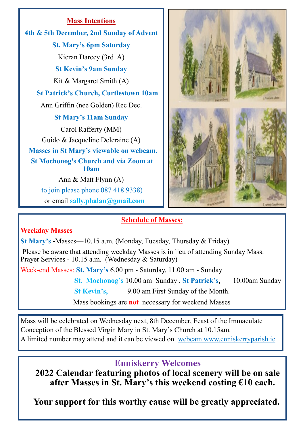**Mass Intentions 4th & 5th December, 2nd Sunday of Advent St. Mary's 6pm Saturday** Kieran Darcey (3rd A) **St Kevin's 9am Sunday** Kit & Margaret Smith (A) **St Patrick's Church, Curtlestown 10am** Ann Griffin (nee Golden) Rec Dec. **St Mary's 11am Sunday** Carol Rafferty (MM) Guido & Jacqueline Deleraine (A)  **Masses in St Mary's viewable on webcam. St Mochonog's Church and via Zoom at 10am**  Ann & Matt Flynn (A) to join please phone 087 418 9338) or email **sally.phalan@gmail.com**



## **Schedule of Masses:**

## **Weekday Masses**

**St Mary's -**Masses—10.15 a.m. (Monday, Tuesday, Thursday & Friday) Please be aware that attending weekday Masses is in lieu of attending Sunday Mass. Prayer Services - 10.15 a.m. (Wednesday & Saturday) Week-end Masses: **St. Mary's** 6.00 pm - Saturday, 11.00 am - Sunday  **St. Mochonog's** 10.00 am Sunday , **St Patrick's,** 10.00am Sunday  **St Kevin's,** 9.00 am First Sunday of the Month.

Mass bookings are **not** necessary for weekend Masses

Mass will be celebrated on Wednesday next, 8th December, Feast of the Immaculate Conception of the Blessed Virgin Mary in St. Mary's Church at 10.15am. A limited number may attend and it can be viewed on webcam www.enniskerryparish.ie

# **Enniskerry Welcomes**

**2022 Calendar featuring photos of local scenery will be on sale after Masses in St. Mary's this weekend costing €10 each.** 

**Your support for this worthy cause will be greatly appreciated.**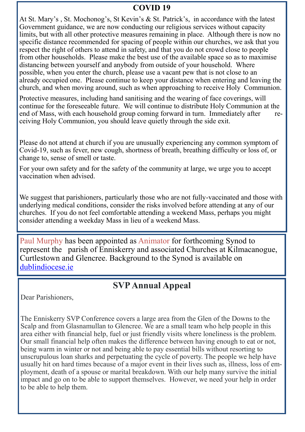# **COVID 19**

At St. Mary's , St. Mochonog's, St Kevin's & St. Patrick's, in accordance with the latest Government guidance, we are now conducting our religious services without capacity limits, but with all other protective measures remaining in place. Although there is now no specific distance recommended for spacing of people within our churches, we ask that you respect the right of others to attend in safety, and that you do not crowd close to people from other households. Please make the best use of the available space so as to maximise distancing between yourself and anybody from outside of your household. Where possible, when you enter the church, please use a vacant pew that is not close to an already occupied one. Please continue to keep your distance when entering and leaving the church, and when moving around, such as when approaching to receive Holy Communion.

Protective measures, including hand sanitising and the wearing of face coverings, will continue for the foreseeable future. We will continue to distribute Holy Communion at the end of Mass, with each household group coming forward in turn. Immediately after receiving Holy Communion, you should leave quietly through the side exit.

Please do not attend at church if you are unusually experiencing any common symptom of Covid-19, such as fever, new cough, shortness of breath, breathing difficulty or loss of, or change to, sense of smell or taste.

For your own safety and for the safety of the community at large, we urge you to accept vaccination when advised.

We suggest that parishioners, particularly those who are not fully-vaccinated and those with underlying medical conditions, consider the risks involved before attending at any of our churches. If you do not feel comfortable attending a weekend Mass, perhaps you might consider attending a weekday Mass in lieu of a weekend Mass.

Paul Murphy has been appointed as Animator for forthcoming Synod to represent the parish of Enniskerry and associated Churches at Kilmacanogue, Curtlestown and Glencree. Background to the Synod is available on [dublindiocese.ie](http://dublindiocese.ie)

# **SVP Annual Appeal**

Dear Parishioners,

The Enniskerry SVP Conference covers a large area from the Glen of the Downs to the Scalp and from Glasnamullan to Glencree. We are a small team who help people in this area either with financial help, fuel or just friendly visits where loneliness is the problem. Our small financial help often makes the difference between having enough to eat or not, being warm in winter or not and being able to pay essential bills without resorting to unscrupulous loan sharks and perpetuating the cycle of poverty. The people we help have usually hit on hard times because of a major event in their lives such as, illness, loss of employment, death of a spouse or marital breakdown. With our help many survive the initial impact and go on to be able to support themselves. However, we need your help in order to be able to help them.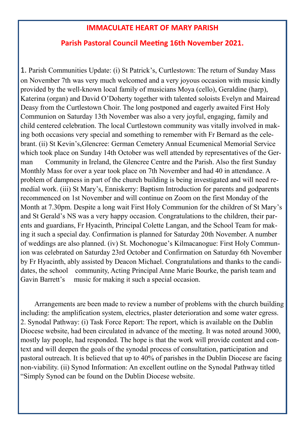### **IMMACULATE HEART OF MARY PARISH**

#### **Parish Pastoral Council Meeting 16th November 2021.**

1. Parish Communities Update: (i) St Patrick's, Curtlestown: The return of Sunday Mass on November 7th was very much welcomed and a very joyous occasion with music kindly provided by the well-known local family of musicians Moya (cello), Geraldine (harp), Katerina (organ) and David O'Doherty together with talented soloists Evelyn and Mairead Deasy from the Curtlestown Choir. The long postponed and eagerly awaited First Holy Communion on Saturday 13th November was also a very joyful, engaging, family and child centered celebration. The local Curtlestown community was vitally involved in making both occasions very special and something to remember with Fr Bernard as the celebrant. (ii) St Kevin's,Glencree: German Cemetery Annual Ecumenical Memorial Service which took place on Sunday 14th October was well attended by representatives of the German Community in Ireland, the Glencree Centre and the Parish. Also the first Sunday Monthly Mass for over a year took place on 7th November and had 40 in attendance. A problem of dampness in part of the church building is being investigated and will need remedial work. (iii) St Mary's, Enniskerry: Baptism Introduction for parents and godparents recommenced on 1st November and will continue on Zoom on the first Monday of the Month at 7.30pm. Despite a long wait First Holy Communion for the children of St Mary's and St Gerald's NS was a very happy occasion. Congratulations to the children, their parents and guardians, Fr Hyacinth, Principal Colette Langan, and the School Team for making it such a special day. Confirmation is planned for Saturday 20th November. A number of weddings are also planned. (iv) St. Mochonogue's Kilmacanogue: First Holy Communion was celebrated on Saturday 23rd October and Confirmation on Saturday 6th November by Fr Hyacinth, ably assisted by Deacon Michael. Congratulations and thanks to the candidates, the school community, Acting Principal Anne Marie Bourke, the parish team and Gavin Barrett's music for making it such a special occasion.

 Arrangements are been made to review a number of problems with the church building including: the amplification system, electrics, plaster deterioration and some water egress. 2. Synodal Pathway: (i) Task Force Report: The report, which is available on the Dublin Diocese website, had been circulated in advance of the meeting. It was noted around 3000, mostly lay people, had responded. The hope is that the work will provide content and context and will deepen the goals of the synodal process of consultation, participation and pastoral outreach. It is believed that up to 40% of parishes in the Dublin Diocese are facing non-viability. (ii) Synod Information: An excellent outline on the Synodal Pathway titled "Simply Synod can be found on the Dublin Diocese website.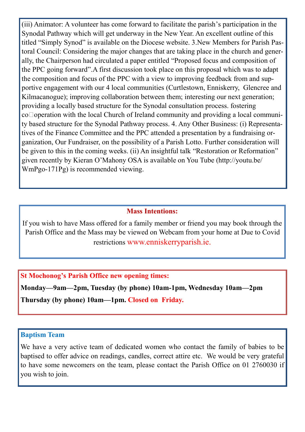(iii) Animator: A volunteer has come forward to facilitate the parish's participation in the Synodal Pathway which will get underway in the New Year. An excellent outline of this titled "Simply Synod" is available on the Diocese website. 3.New Members for Parish Pastoral Council: Considering the major changes that are taking place in the church and generally, the Chairperson had circulated a paper entitled "Proposed focus and composition of the PPC going forward".A first discussion took place on this proposal which was to adapt the composition and focus of the PPC with a view to improving feedback from and supportive engagement with our 4 local communities (Curtlestown, Enniskerry, Glencree and Kilmacanogue); improving collaboration between them; interesting our next generation; providing a locally based structure for the Synodal consultation process. fostering co<sup></sup>operation with the local Church of Ireland community and providing a local community based structure for the Synodal Pathway process. 4. Any Other Business: (i) Representatives of the Finance Committee and the PPC attended a presentation by a fundraising organization, Our Fundraiser, on the possibility of a Parish Lotto. Further consideration will be given to this in the coming weeks. (ii) An insightful talk "Restoration or Reformation" given recently by Kieran O'Mahony OSA is available on You Tube (http://youtu.be/ WmPgo-171Pg) is recommended viewing.

#### **Mass Intentions:**

If you wish to have Mass offered for a family member or friend you may book through the Parish Office and the Mass may be viewed on Webcam from your home at Due to Covid restrictions www.enniskerryparish.ie.

**St Mochonog's Parish Office new opening times:**

**Monday—9am—2pm, Tuesday (by phone) 10am-1pm, Wednesday 10am—2pm Thursday (by phone) 10am—1pm. Closed on Friday.**

#### **Baptism Team**

We have a very active team of dedicated women who contact the family of babies to be baptised to offer advice on readings, candles, correct attire etc. We would be very grateful to have some newcomers on the team, please contact the Parish Office on 01 2760030 if you wish to join.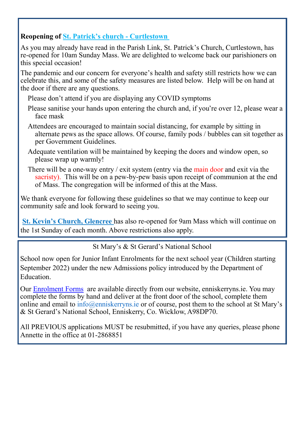# **Reopening of St. Patrick's church - Curtlestown**

As you may already have read in the Parish Link, St. Patrick's Church, Curtlestown, has re-opened for 10am Sunday Mass. We are delighted to welcome back our parishioners on this special occasion!

The pandemic and our concern for everyone's health and safety still restricts how we can celebrate this, and some of the safety measures are listed below. Help will be on hand at the door if there are any questions.

Please don't attend if you are displaying any COVID symptoms

- Please sanitise your hands upon entering the church and, if you're over 12, please wear a face mask
- Attendees are encouraged to maintain social distancing, for example by sitting in alternate pews as the space allows. Of course, family pods / bubbles can sit together as per Government Guidelines.
- Adequate ventilation will be maintained by keeping the doors and window open, so please wrap up warmly!
- There will be a one-way entry / exit system (entry via the main door and exit via the sacristy). This will be on a pew-by-pew basis upon receipt of communion at the end of Mass. The congregation will be informed of this at the Mass.

We thank everyone for following these guidelines so that we may continue to keep our community safe and look forward to seeing you.

**St. Kevin's Church, Glencree** has also re-opened for 9am Mass which will continue on the 1st Sunday of each month. Above restrictions also apply.

St Mary's & St Gerard's National School

School now open for Junior Infant Enrolments for the next school year (Children starting September 2022) under the new Admissions policy introduced by the Department of Education.

Our [Enrolment Forms](https://www.enniskerryns.ie/wp-content/uploads/2020/09/Admission-Application-Form-2020.pdf) are available directly from our website, enniskerryns.ie. You may complete the forms by hand and deliver at the front door of the school, complete them online and email to  $\inf_0$  ( $\theta$ ) enniskerryns ie or of course, post them to the school at St Mary's & St Gerard's National School, Enniskerry, Co. Wicklow, A98DP70.

All PREVIOUS applications MUST be resubmitted, if you have any queries, please phone Annette in the office at 01-2868851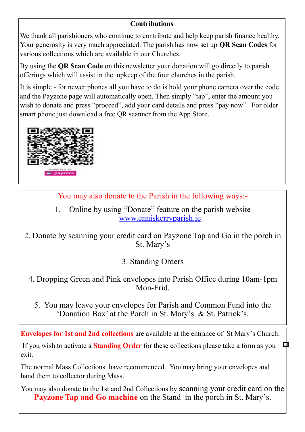# **Contributions**

We thank all parishioners who continue to contribute and help keep parish finance healthy. Your generosity is very much appreciated. The parish has now set up **QR Scan Codes** for various collections which are available in our Churches.

By using the **QR Scan Code** on this newsletter your donation will go directly to parish offerings which will assist in the upkeep of the four churches in the parish.

It is simple - for newer phones all you have to do is hold your phone camera over the code and the Payzone page will automatically open. Then simply "tap", enter the amount you wish to donate and press "proceed", add your card details and press "pay now". For older smart phone just download a free QR scanner from the App Store.



You may also donate to the Parish in the following ways:-

1. Online by using "Donate" feature on the parish website [www.enniskerryparish.ie](http://www.enniskerryparish.ie)

2. Donate by scanning your credit card on Payzone Tap and Go in the porch in St. Mary's

3. Standing Orders

- 4. Dropping Green and Pink envelopes into Parish Office during 10am-1pm Mon-Frid.
	- 5. You may leave your envelopes for Parish and Common Fund into the 'Donation Box' at the Porch in St. Mary's. & St. Patrick's.

**Envelopes for 1st and 2nd collections** are available at the entrance of St Mary's Church.

If you wish to activate a **Standing Order** for these collections please take a form as you exit.

Д

The normal Mass Collections have recommenced. You may bring your envelopes and hand them to collector during Mass.

You may also donate to the 1st and 2nd Collections by scanning your credit card on the **Payzone Tap and Go machine** on the Stand in the porch in St. Mary's.